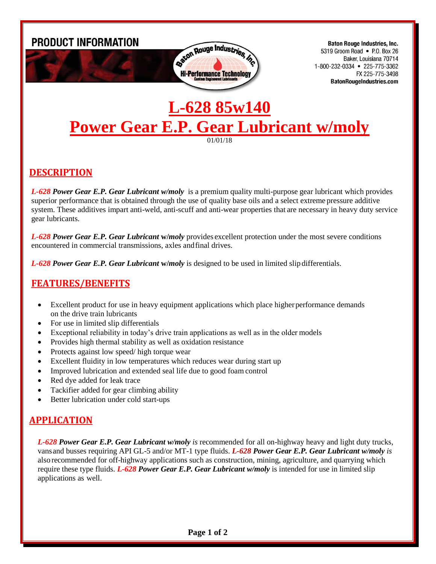

**Baton Rouge Industries, Inc.** 5319 Groom Road • P.O. Box 26 Baker, Louisiana 70714 1-800-232-0334 • 225-775-3362 FX 225-775-3498 **BatonRougeIndustries.com** 

# **L-628 85w140 Power Gear E.P. Gear Lubricant w/moly**

01/01/18

#### **DESCRIPTION**

*L-628 Power Gear E.P. Gear Lubricant w/moly* is a premium quality multi-purpose gear lubricant which provides superior performance that is obtained through the use of quality base oils and a select extreme pressure additive system. These additives impart anti-weld, anti-scuff and anti-wear properties that are necessary in heavy duty service gear lubricants.

*L-628 Power Gear E.P. Gear Lubricant* **w/***moly* provides excellent protection under the most severe conditions encountered in commercial transmissions, axles andfinal drives.

*L-628 Power Gear E.P. Gear Lubricant* **w/***moly* is designed to be used in limited slip differentials.

### **FEATURES/BENEFITS**

- Excellent product for use in heavy equipment applications which place higher performance demands on the drive train lubricants
- For use in limited slip differentials
- Exceptional reliability in today's drive train applications as well as in the older models
- Provides high thermal stability as well as oxidation resistance
- Protects against low speed/ high torque wear
- Excellent fluidity in low temperatures which reduces wear during start up
- Improved lubrication and extended seal life due to good foam control
- Red dye added for leak trace
- Tackifier added for gear climbing ability
- Better lubrication under cold start-ups

### **APPLICATION**

*L-628 Power Gear E.P. Gear Lubricant w/moly is* recommended for all on-highway heavy and light duty trucks, vansand busses requiring API GL-5 and/or MT-1 type fluids. *L-628 Power Gear E.P. Gear Lubricant w/moly is* also recommended for off-highway applications such as construction, mining, agriculture, and quarrying which require these type fluids. *L-628 Power Gear E.P. Gear Lubricant w/moly* is intended for use in limited slip applications as well.